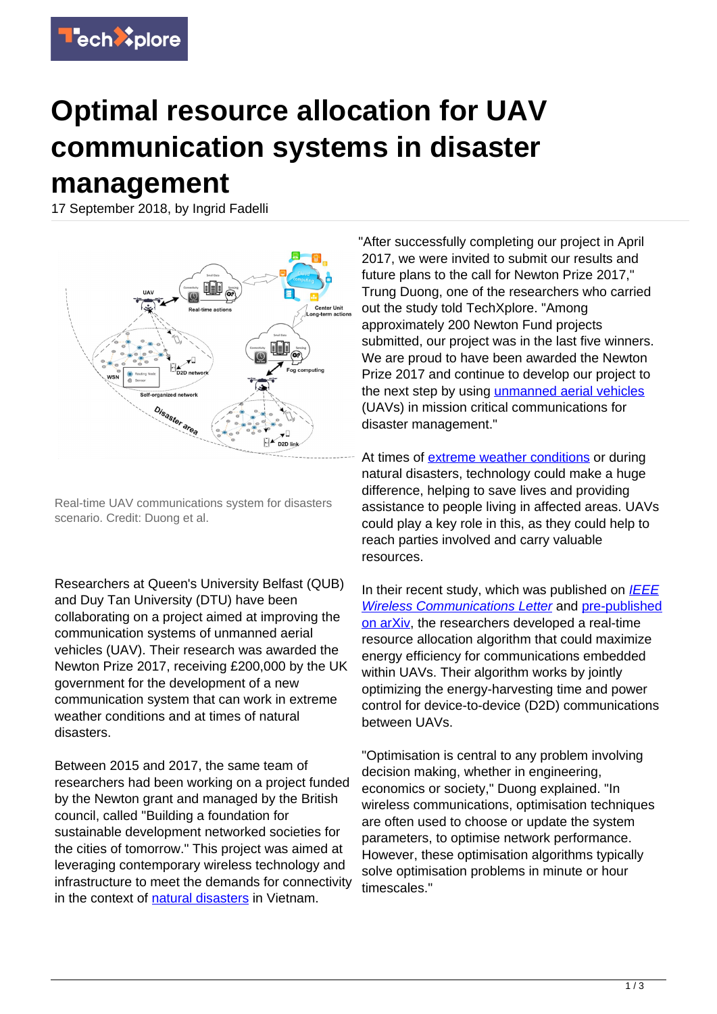

## **Optimal resource allocation for UAV communication systems in disaster management**

17 September 2018, by Ingrid Fadelli



Real-time UAV communications system for disasters scenario. Credit: Duong et al.

Researchers at Queen's University Belfast (QUB) and Duy Tan University (DTU) have been collaborating on a project aimed at improving the communication systems of unmanned aerial vehicles (UAV). Their research was awarded the Newton Prize 2017, receiving £200,000 by the UK government for the development of a new communication system that can work in extreme weather conditions and at times of natural disasters.

Between 2015 and 2017, the same team of researchers had been working on a project funded by the Newton grant and managed by the British council, called "Building a foundation for sustainable development networked societies for the cities of tomorrow." This project was aimed at leveraging contemporary wireless technology and infrastructure to meet the demands for connectivity in the context of [natural disasters](https://techxplore.com/tags/natural+disasters/) in Vietnam.

"After successfully completing our project in April 2017, we were invited to submit our results and future plans to the call for Newton Prize 2017," Trung Duong, one of the researchers who carried out the study told TechXplore. "Among approximately 200 Newton Fund projects submitted, our project was in the last five winners. We are proud to have been awarded the Newton Prize 2017 and continue to develop our project to the next step by using [unmanned aerial vehicles](https://techxplore.com/tags/unmanned+aerial+vehicles/) (UAVs) in mission critical communications for disaster management."

At times of **extreme weather conditions** or during natural disasters, technology could make a huge difference, helping to save lives and providing assistance to people living in affected areas. UAVs could play a key role in this, as they could help to reach parties involved and carry valuable resources.

In their recent study, which was published on  $IEEE$ [Wireless Communications Letter](https://ieeexplore.ieee.org/document/8457275/) and [pre-published](https://arxiv.org/pdf/1809.01710.pdf) [on arXiv,](https://arxiv.org/pdf/1809.01710.pdf) the researchers developed a real-time resource allocation algorithm that could maximize energy efficiency for communications embedded within UAVs. Their algorithm works by jointly optimizing the energy-harvesting time and power control for device-to-device (D2D) communications between UAVs.

"Optimisation is central to any problem involving decision making, whether in engineering, economics or society," Duong explained. "In wireless communications, optimisation techniques are often used to choose or update the system parameters, to optimise network performance. However, these optimisation algorithms typically solve optimisation problems in minute or hour timescales."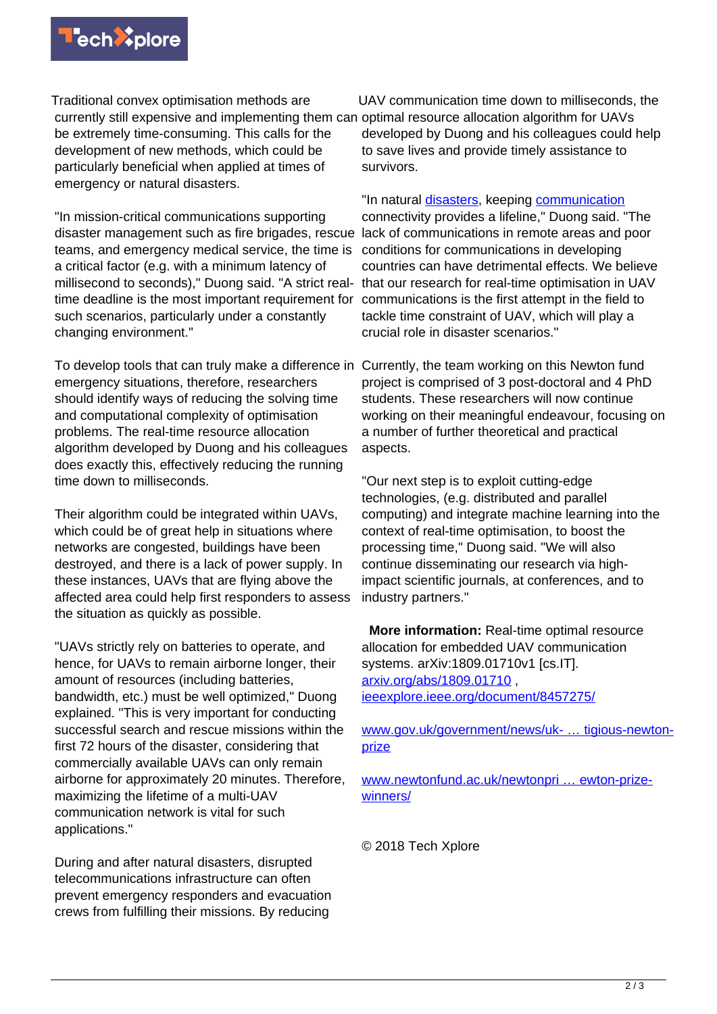

Traditional convex optimisation methods are currently still expensive and implementing them can optimal resource allocation algorithm for UAVs be extremely time-consuming. This calls for the development of new methods, which could be particularly beneficial when applied at times of emergency or natural disasters.

"In mission-critical communications supporting disaster management such as fire brigades, rescue teams, and emergency medical service, the time is a critical factor (e.g. with a minimum latency of millisecond to seconds)," Duong said. "A strict realtime deadline is the most important requirement for such scenarios, particularly under a constantly changing environment."

To develop tools that can truly make a difference in Currently, the team working on this Newton fund emergency situations, therefore, researchers should identify ways of reducing the solving time and computational complexity of optimisation problems. The real-time resource allocation algorithm developed by Duong and his colleagues does exactly this, effectively reducing the running time down to milliseconds.

Their algorithm could be integrated within UAVs, which could be of great help in situations where networks are congested, buildings have been destroyed, and there is a lack of power supply. In these instances, UAVs that are flying above the affected area could help first responders to assess the situation as quickly as possible.

"UAVs strictly rely on batteries to operate, and hence, for UAVs to remain airborne longer, their amount of resources (including batteries, bandwidth, etc.) must be well optimized," Duong explained. "This is very important for conducting successful search and rescue missions within the first 72 hours of the disaster, considering that commercially available UAVs can only remain airborne for approximately 20 minutes. Therefore, maximizing the lifetime of a multi-UAV communication network is vital for such applications."

During and after natural disasters, disrupted telecommunications infrastructure can often prevent emergency responders and evacuation crews from fulfilling their missions. By reducing

UAV communication time down to milliseconds, the developed by Duong and his colleagues could help to save lives and provide timely assistance to survivors.

"In natural [disasters](https://techxplore.com/tags/disasters/), keeping [communication](https://techxplore.com/tags/communication/) connectivity provides a lifeline," Duong said. "The lack of communications in remote areas and poor conditions for communications in developing countries can have detrimental effects. We believe that our research for real-time optimisation in UAV communications is the first attempt in the field to tackle time constraint of UAV, which will play a crucial role in disaster scenarios."

project is comprised of 3 post-doctoral and 4 PhD students. These researchers will now continue working on their meaningful endeavour, focusing on a number of further theoretical and practical aspects.

"Our next step is to exploit cutting-edge technologies, (e.g. distributed and parallel computing) and integrate machine learning into the context of real-time optimisation, to boost the processing time," Duong said. "We will also continue disseminating our research via highimpact scientific journals, at conferences, and to industry partners."

 **More information:** Real-time optimal resource allocation for embedded UAV communication systems. arXiv:1809.01710v1 [cs.IT]. [arxiv.org/abs/1809.01710](https://arxiv.org/abs/1809.01710) , [ieeexplore.ieee.org/document/8457275/](https://ieeexplore.ieee.org/document/8457275/)

[www.gov.uk/government/news/uk- … tigious-newton](https://www.gov.uk/government/news/uk-vietnam-project-communicating-in-a-disaster-wins-prestigious-newton-prize)[prize](https://www.gov.uk/government/news/uk-vietnam-project-communicating-in-a-disaster-wins-prestigious-newton-prize)

[www.newtonfund.ac.uk/newtonpri … ewton-prize](http://www.newtonfund.ac.uk/newtonprize/2017-newton-prize-winners/)[winners/](http://www.newtonfund.ac.uk/newtonprize/2017-newton-prize-winners/)

© 2018 Tech Xplore